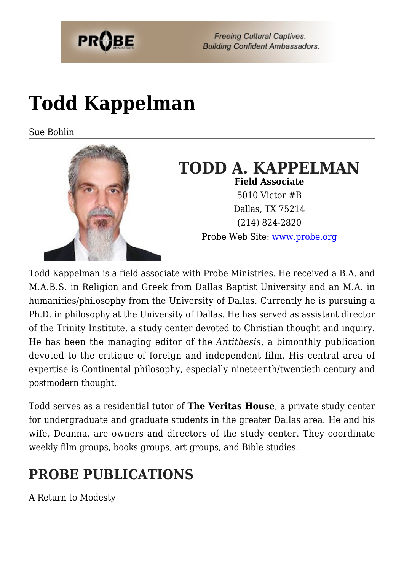

**Freeing Cultural Captives. Building Confident Ambassadors.** 

## **[Todd Kappelman](https://probe.org/todd-kappelman/)**

Sue Bohlin



### **TODD A. KAPPELMAN Field Associate** 5010 Victor #B Dallas, TX 75214 (214) 824-2820 Probe Web Site: [www.probe.org](http://www.probe.org)

Todd Kappelman is a field associate with Probe Ministries. He received a B.A. and M.A.B.S. in Religion and Greek from Dallas Baptist University and an M.A. in humanities/philosophy from the University of Dallas. Currently he is pursuing a Ph.D. in philosophy at the University of Dallas. He has served as assistant director of the Trinity Institute, a study center devoted to Christian thought and inquiry. He has been the managing editor of the *Antithesis*, a bimonthly publication devoted to the critique of foreign and independent film. His central area of expertise is Continental philosophy, especially nineteenth/twentieth century and postmodern thought.

Todd serves as a residential tutor of **The Veritas House**, a private study center for undergraduate and graduate students in the greater Dallas area. He and his wife, Deanna, are owners and directors of the study center. They coordinate weekly film groups, books groups, art groups, and Bible studies.

## **PROBE PUBLICATIONS**

A Return to Modesty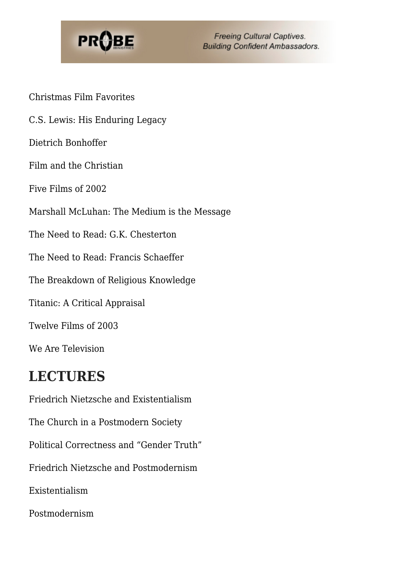

**Freeing Cultural Captives. Building Confident Ambassadors.** 

Christmas Film Favorites

C.S. Lewis: His Enduring Legacy

Dietrich Bonhoffer

Film and the Christian

Five Films of 2002

Marshall McLuhan: The Medium is the Message

The Need to Read: G.K. Chesterton

The Need to Read: Francis Schaeffer

The Breakdown of Religious Knowledge

Titanic: A Critical Appraisal

Twelve Films of 2003

We Are Television

#### **LECTURES**

Friedrich Nietzsche and Existentialism The Church in a Postmodern Society Political Correctness and "Gender Truth" Friedrich Nietzsche and Postmodernism Existentialism Postmodernism